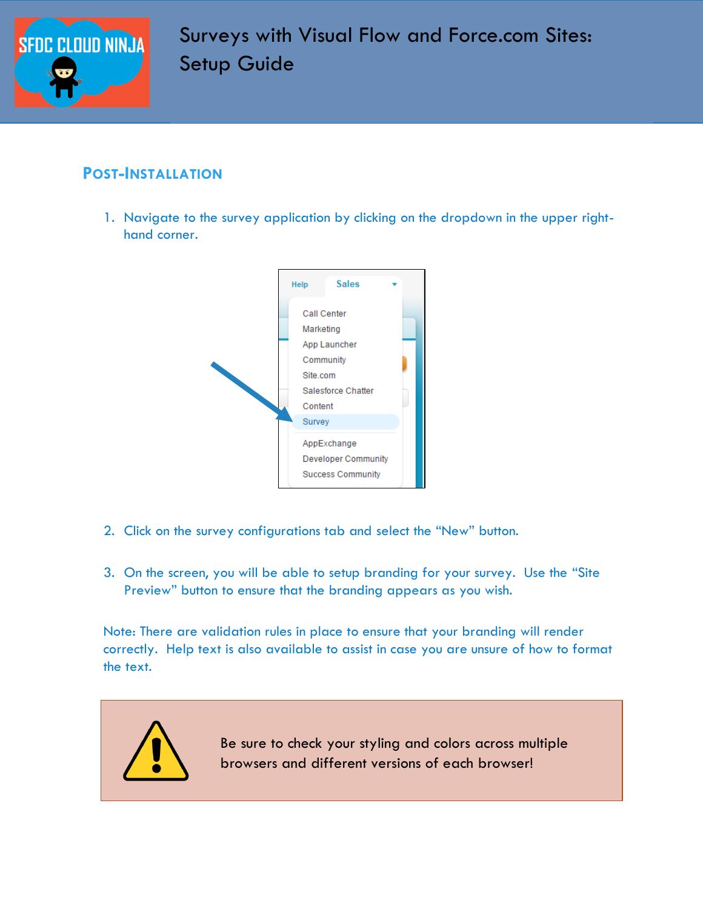

# Surveys with Visual Flow and Force.com Sites: Setup Guide

### **POST-INSTALLATION**

1. Navigate to the survey application by clicking on the dropdown in the upper righthand corner.



- 2. Click on the survey configurations tab and select the "New" button.
- 3. On the screen, you will be able to setup branding for your survey. Use the "Site Preview" button to ensure that the branding appears as you wish.

Note: There are validation rules in place to ensure that your branding will render correctly. Help text is also available to assist in case you are unsure of how to format the text.

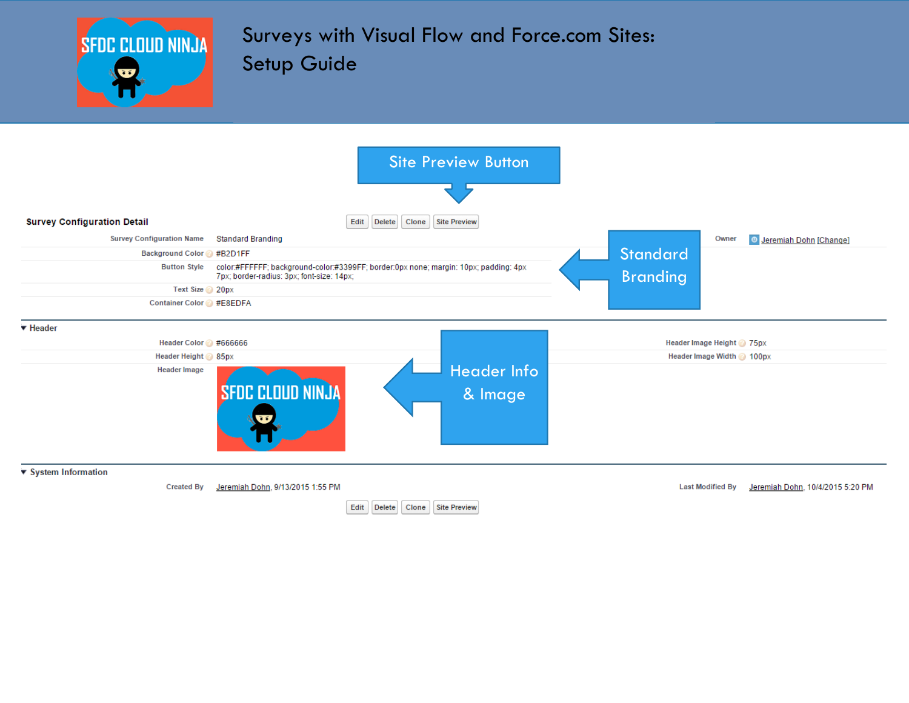

# Surveys with Visual Flow and Force.com Sites: Setup Guide

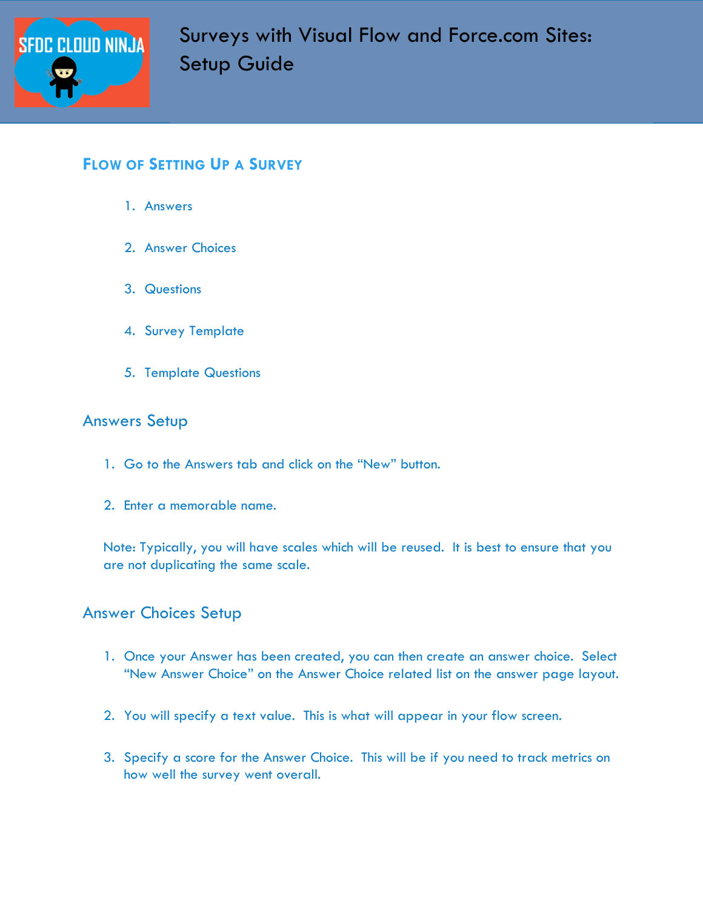

### **FLOW OF SETTING UP A SURVEY**

- 1. Answers
- 2. Answer Choices
- 3. Questions
- 4. Survey Template
- 5. Template Questions

#### Answers Setup

- 1. Go to the Answers tab and click on the "New" button.
- 2. Enter a memorable name.

Note: Typically, you will have scales which will be reused. It is best to ensure that you are not duplicating the same scale.

#### Answer Choices Setup

- 1. Once your Answer has been created, you can then create an answer choice. Select "New Answer Choice" on the Answer Choice related list on the answer page layout.
- 2. You will specify a text value. This is what will appear in your flow screen.
- 3. Specify a score for the Answer Choice. This will be if you need to track metrics on how well the survey went overall.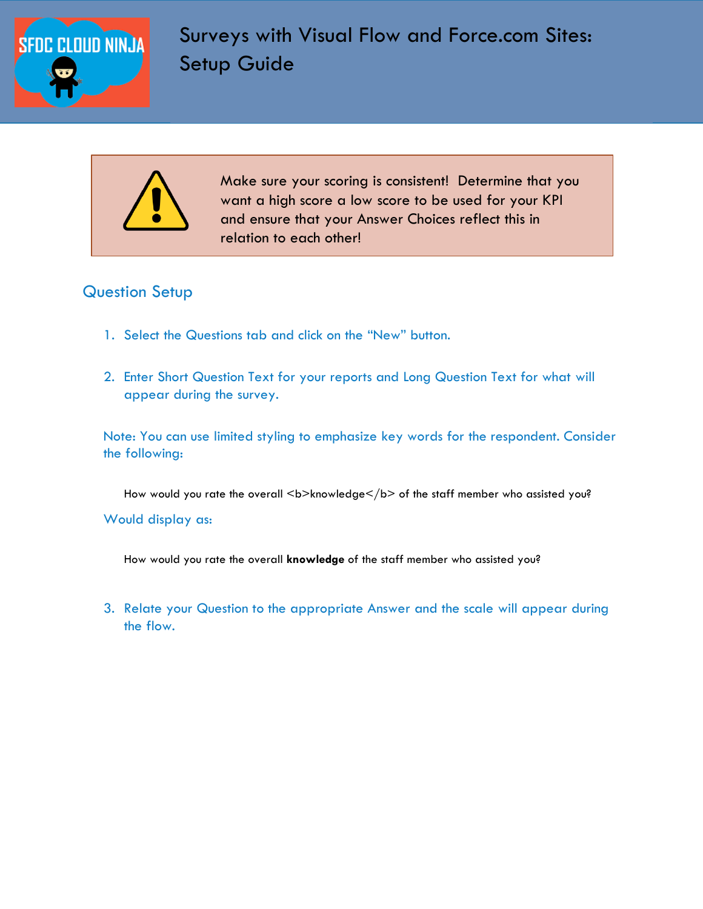

Make sure your scoring is consistent! Determine that you want a high score a low score to be used for your KPI and ensure that your Answer Choices reflect this in relation to each other!

### Question Setup

- 1. Select the Questions tab and click on the "New" button.
- 2. Enter Short Question Text for your reports and Long Question Text for what will appear during the survey.

Note: You can use limited styling to emphasize key words for the respondent. Consider the following:

How would you rate the overall <b>knowledge</b> of the staff member who assisted you?

Would display as:

How would you rate the overall **knowledge** of the staff member who assisted you?

3. Relate your Question to the appropriate Answer and the scale will appear during the flow.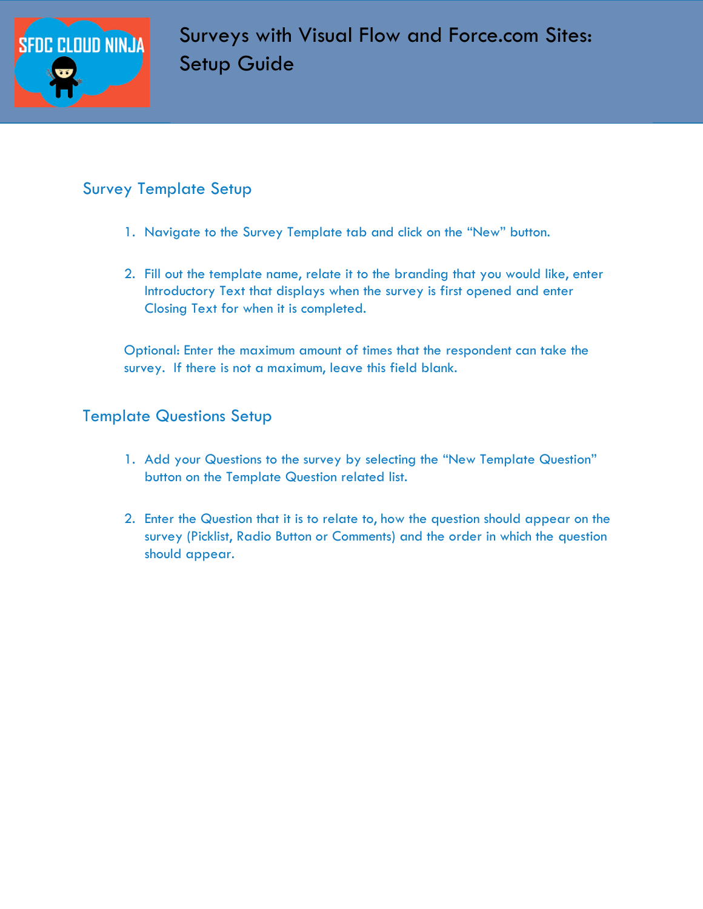

## Survey Template Setup

- 1. Navigate to the Survey Template tab and click on the "New" button.
- 2. Fill out the template name, relate it to the branding that you would like, enter Introductory Text that displays when the survey is first opened and enter Closing Text for when it is completed.

Optional: Enter the maximum amount of times that the respondent can take the survey. If there is not a maximum, leave this field blank.

### Template Questions Setup

- 1. Add your Questions to the survey by selecting the "New Template Question" button on the Template Question related list.
- 2. Enter the Question that it is to relate to, how the question should appear on the survey (Picklist, Radio Button or Comments) and the order in which the question should appear.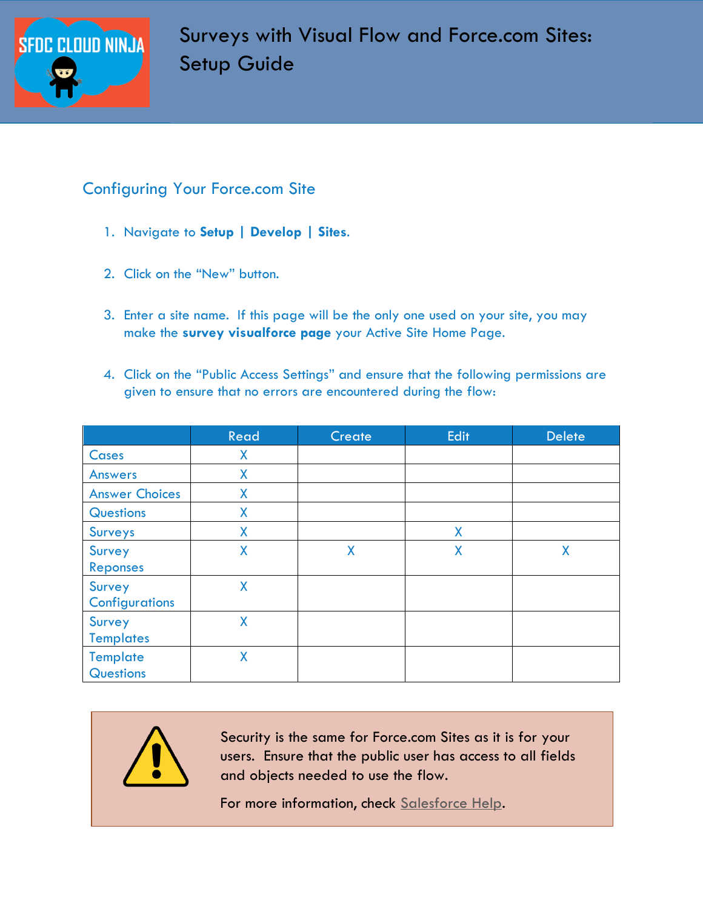

# Configuring Your Force.com Site

- 1. Navigate to **Setup | Develop | Sites**.
- 2. Click on the "New" button.
- 3. Enter a site name. If this page will be the only one used on your site, you may make the **survey visualforce page** your Active Site Home Page.
- 4. Click on the "Public Access Settings" and ensure that the following permissions are given to ensure that no errors are encountered during the flow:

|                                        | Read | Create | Edit | <b>Delete</b> |
|----------------------------------------|------|--------|------|---------------|
| Cases                                  | X    |        |      |               |
| <b>Answers</b>                         | X    |        |      |               |
| <b>Answer Choices</b>                  | Χ    |        |      |               |
| <b>Questions</b>                       | X    |        |      |               |
| <b>Surveys</b>                         | X    |        | X    |               |
| <b>Survey</b><br>Reponses              | X    | X      | X    | X             |
| <b>Survey</b><br><b>Configurations</b> | X    |        |      |               |
| Survey<br><b>Templates</b>             | X    |        |      |               |
| <b>Template</b><br><b>Questions</b>    | X    |        |      |               |

Security is the same for Force.com Sites as it is for your users. Ensure that the public user has access to all fields and objects needed to use the flow.

For more information, check [Salesforce Help.](https://help.salesforce.com/HTViewHelpDoc?id=sites_public_access_settings.htm)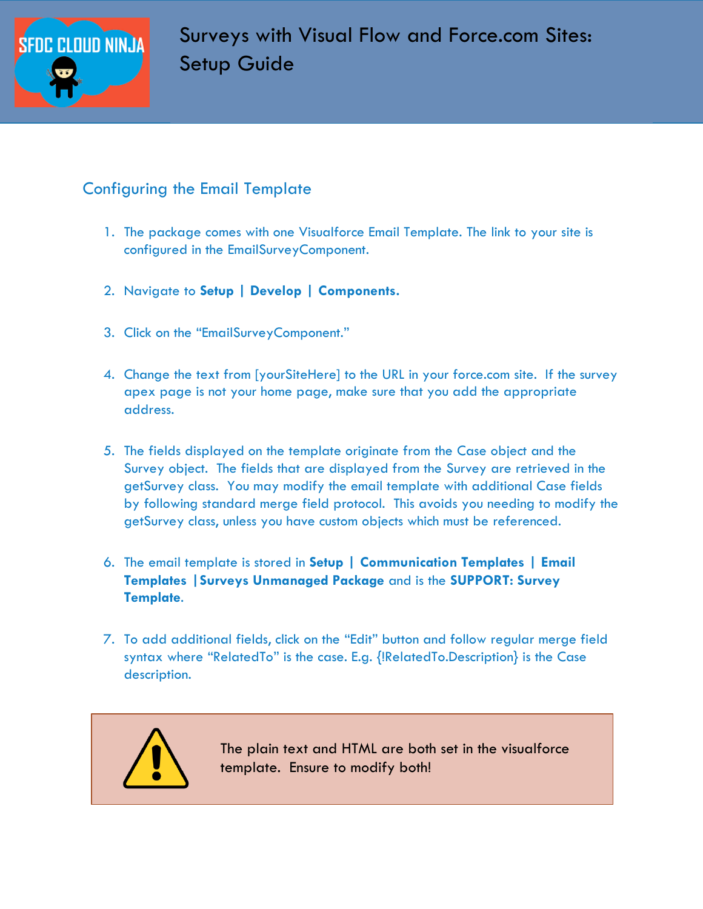

# Configuring the Email Template

- 1. The package comes with one Visualforce Email Template. The link to your site is configured in the EmailSurveyComponent.
- 2. Navigate to **Setup | Develop | Components.**
- 3. Click on the "EmailSurveyComponent."
- 4. Change the text from [yourSiteHere] to the URL in your force.com site. If the survey apex page is not your home page, make sure that you add the appropriate address.
- 5. The fields displayed on the template originate from the Case object and the Survey object. The fields that are displayed from the Survey are retrieved in the getSurvey class. You may modify the email template with additional Case fields by following standard merge field protocol. This avoids you needing to modify the getSurvey class, unless you have custom objects which must be referenced.
- 6. The email template is stored in **Setup | Communication Templates | Email Templates |Surveys Unmanaged Package** and is the **SUPPORT: Survey Template**.
- 7. To add additional fields, click on the "Edit" button and follow regular merge field syntax where "RelatedTo" is the case. E.g. {!RelatedTo.Description} is the Case description.



The plain text and HTML are both set in the visualforce template. Ensure to modify both!